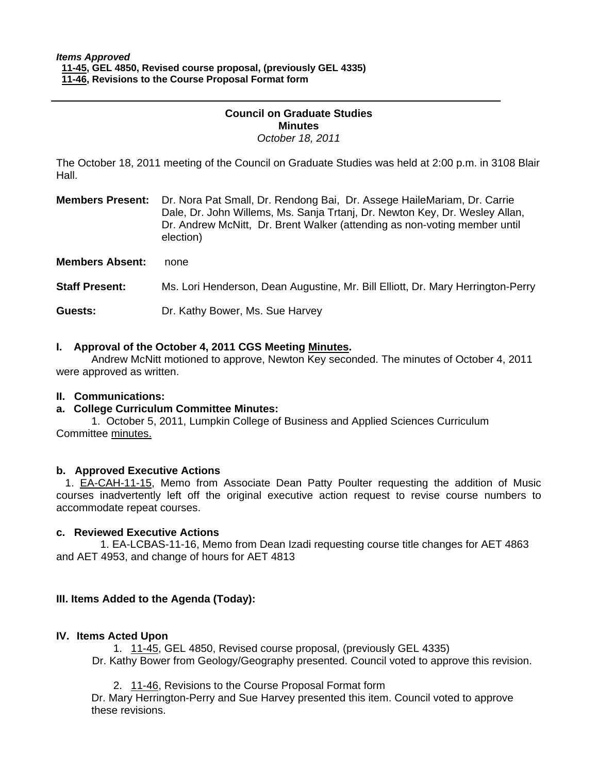#### **Council on Graduate Studies Minutes**  *October 18, 2011*

The October 18, 2011 meeting of the Council on Graduate Studies was held at 2:00 p.m. in 3108 Blair Hall.

**Members Present:** Dr. Nora Pat Small, Dr. Rendong Bai, Dr. Assege HaileMariam, Dr. Carrie Dale, Dr. John Willems, Ms. Sanja Trtanj, Dr. Newton Key, Dr. Wesley Allan, Dr. Andrew McNitt, Dr. Brent Walker (attending as non-voting member until election)

**Members Absent:** none

**Staff Present:** Ms. Lori Henderson, Dean Augustine, Mr. Bill Elliott, Dr. Mary Herrington-Perry

**Guests:** Dr. Kathy Bower, Ms. Sue Harvey

## **I. Approval of the October 4, 2011 CGS Meetin[g Minutes.](http://castle.eiu.edu/eiucgs/currentminutes/Minutes10-4-11.pdf)**

 Andrew McNitt motioned to approve, Newton Key seconded. The minutes of October 4, 2011 were approved as written.

#### **II. Communications:**

#### **a. College Curriculum Committee Minutes:**

1. October 5, 2011, Lumpkin College of Business and Applied Sciences Curriculum Committe[e minutes.](http://castle.eiu.edu/~eiucgs/currentagendaitems/LCBASMin10-5-11.pdf) 

#### **b. Approved Executive Actions**

1[. EA-CAH-11-15,](http://castle.eiu.edu/~eiucgs/exec-actions/EA-CAH-11-15.pdf) Memo from Associate Dean Patty Poulter requesting the addition of Music courses inadvertently left off the original executive action request to revise course numbers to accommodate repeat courses.

#### **c. Reviewed Executive Actions**

[1. EA-LCBAS-11-16, M](http://castle.eiu.edu/~eiucgs/exec-actions/EA-LCBAS-11-16.pdf)emo from Dean Izadi requesting course title changes for AET 4863 and AET 4953, and change of hours for AET 4813

#### **III. Items Added to the Agenda (Today):**

#### **IV. Items Acted Upon**

[1. 11-45, GE](http://castle.eiu.edu/~eiucgs/currentagendaitems/agenda11-45.pdf)L 4850, Revised course proposal, (previously GEL 4335) Dr. Kathy Bower from Geology/Geography presented. Council voted to approve this revision.

[2. 11-46, Rev](http://castle.eiu.edu/~eiucgs/currentagendaitems/agenda11-46.pdf)isions to the Course Proposal Format form

Dr. Mary Herrington-Perry and Sue Harvey presented this item. Council voted to approve these revisions.